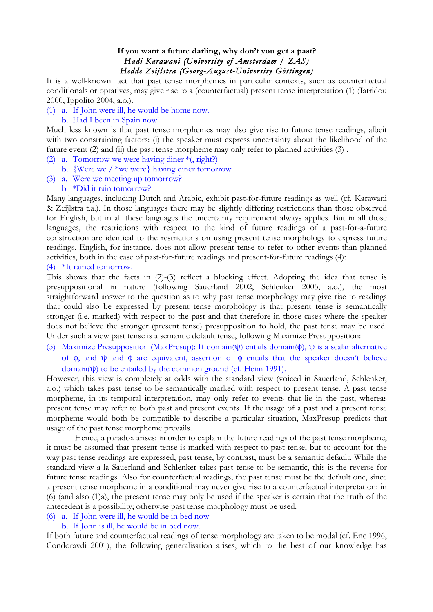## **If you want a future darling, why don't you get a past?** *Hadi Karawani (University of Amsterdam / ZAS) Hedde Zeijlstra (Georg-August-University Göttingen)*

It is a well-known fact that past tense morphemes in particular contexts, such as counterfactual conditionals or optatives, may give rise to a (counterfactual) present tense interpretation (1) (Iatridou 2000, Ippolito 2004, a.o.).

(1) a. If John were ill, he would be home now.

## b. Had I been in Spain now!

Much less known is that past tense morphemes may also give rise to future tense readings, albeit with two constraining factors: (i) the speaker must express uncertainty about the likelihood of the future event (2) and (ii) the past tense morpheme may only refer to planned activities (3).

- (2) a. Tomorrow we were having diner \*(, right?)
	- b. {Were we / \*we were} having diner tomorrow
- (3) a. Were we meeting up tomorrow?
	- b \*Did it rain tomorrow?

Many languages, including Dutch and Arabic, exhibit past-for-future readings as well (cf. Karawani & Zeijlstra t.a.). In those languages there may be slightly differing restrictions than those observed for English, but in all these languages the uncertainty requirement always applies. But in all those languages, the restrictions with respect to the kind of future readings of a past-for-a-future construction are identical to the restrictions on using present tense morphology to express future readings. English, for instance, does not allow present tense to refer to other events than planned activities, both in the case of past-for-future readings and present-for-future readings (4):

## (4) \*It rained tomorrow.

This shows that the facts in (2)-(3) reflect a blocking effect. Adopting the idea that tense is presuppositional in nature (following Sauerland 2002, Schlenker 2005, a.o.), the most straightforward answer to the question as to why past tense morphology may give rise to readings that could also be expressed by present tense morphology is that present tense is semantically stronger (i.e. marked) with respect to the past and that therefore in those cases where the speaker does not believe the stronger (present tense) presupposition to hold, the past tense may be used. Under such a view past tense is a semantic default tense, following Maximize Presupposition:

(5) Maximize Presupposition (MaxPresup): If domain( $\psi$ ) entails domain( $\phi$ ),  $\psi$  is a scalar alternative of φ, and ψ and φ are equivalent, assertion of φ entails that the speaker doesn't believe domain(ψ) to be entailed by the common ground (cf. Heim 1991).

However, this view is completely at odds with the standard view (voiced in Sauerland, Schlenker, a.o.) which takes past tense to be semantically marked with respect to present tense. A past tense morpheme, in its temporal interpretation, may only refer to events that lie in the past, whereas present tense may refer to both past and present events. If the usage of a past and a present tense morpheme would both be compatible to describe a particular situation, MaxPresup predicts that usage of the past tense morpheme prevails.

Hence, a paradox arises: in order to explain the future readings of the past tense morpheme, it must be assumed that present tense is marked with respect to past tense, but to account for the way past tense readings are expressed, past tense, by contrast, must be a semantic default. While the standard view a la Sauerland and Schlenker takes past tense to be semantic, this is the reverse for future tense readings. Also for counterfactual readings, the past tense must be the default one, since a present tense morpheme in a conditional may never give rise to a counterfactual interpretation: in (6) (and also (1)a), the present tense may only be used if the speaker is certain that the truth of the antecedent is a possibility; otherwise past tense morphology must be used.

## (6) a. If John were ill, he would be in bed now

## b. If John is ill, he would be in bed now.

If both future and counterfactual readings of tense morphology are taken to be modal (cf. Enc 1996, Condoravdi 2001), the following generalisation arises, which to the best of our knowledge has